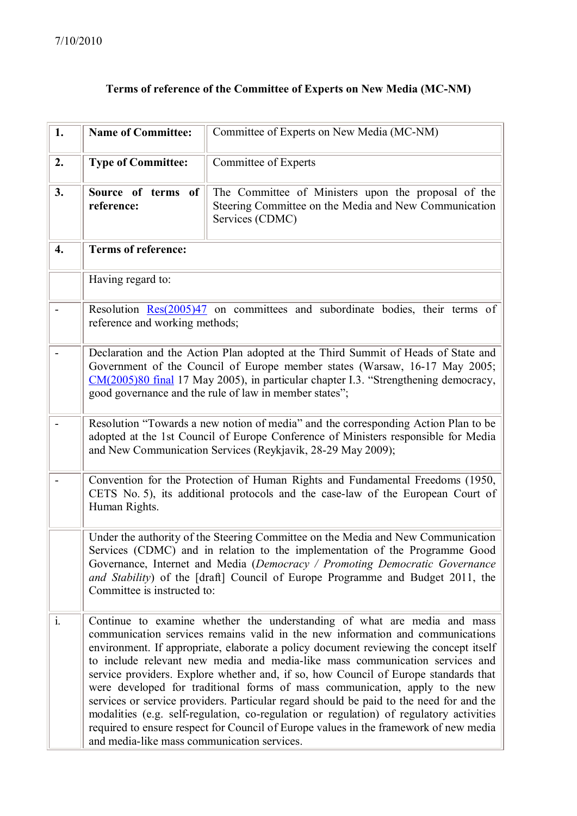## **Terms of reference of the Committee of Experts on New Media (MC-NM)**

| 1.               | <b>Name of Committee:</b>                   | Committee of Experts on New Media (MC-NM)                                                                                                                                                                                                                                                                                                                                                                                                                                                                                                                                                                                                                                                                                                                                                 |
|------------------|---------------------------------------------|-------------------------------------------------------------------------------------------------------------------------------------------------------------------------------------------------------------------------------------------------------------------------------------------------------------------------------------------------------------------------------------------------------------------------------------------------------------------------------------------------------------------------------------------------------------------------------------------------------------------------------------------------------------------------------------------------------------------------------------------------------------------------------------------|
| 2.               | <b>Type of Committee:</b>                   | Committee of Experts                                                                                                                                                                                                                                                                                                                                                                                                                                                                                                                                                                                                                                                                                                                                                                      |
| 3.               | Source of terms of<br>reference:            | The Committee of Ministers upon the proposal of the<br>Steering Committee on the Media and New Communication<br>Services (CDMC)                                                                                                                                                                                                                                                                                                                                                                                                                                                                                                                                                                                                                                                           |
| $\overline{4}$ . | <b>Terms of reference:</b>                  |                                                                                                                                                                                                                                                                                                                                                                                                                                                                                                                                                                                                                                                                                                                                                                                           |
|                  | Having regard to:                           |                                                                                                                                                                                                                                                                                                                                                                                                                                                                                                                                                                                                                                                                                                                                                                                           |
| -                | reference and working methods;              | Resolution $Res(2005)47$ on committees and subordinate bodies, their terms of                                                                                                                                                                                                                                                                                                                                                                                                                                                                                                                                                                                                                                                                                                             |
|                  |                                             | Declaration and the Action Plan adopted at the Third Summit of Heads of State and<br>Government of the Council of Europe member states (Warsaw, 16-17 May 2005;<br>CM(2005)80 final 17 May 2005), in particular chapter I.3. "Strengthening democracy,<br>good governance and the rule of law in member states";                                                                                                                                                                                                                                                                                                                                                                                                                                                                          |
|                  |                                             | Resolution "Towards a new notion of media" and the corresponding Action Plan to be<br>adopted at the 1st Council of Europe Conference of Ministers responsible for Media<br>and New Communication Services (Reykjavik, 28-29 May 2009);                                                                                                                                                                                                                                                                                                                                                                                                                                                                                                                                                   |
|                  | Human Rights.                               | Convention for the Protection of Human Rights and Fundamental Freedoms (1950,<br>CETS No. 5), its additional protocols and the case-law of the European Court of                                                                                                                                                                                                                                                                                                                                                                                                                                                                                                                                                                                                                          |
|                  | Committee is instructed to:                 | Under the authority of the Steering Committee on the Media and New Communication<br>Services (CDMC) and in relation to the implementation of the Programme Good<br>Governance, Internet and Media (Democracy / Promoting Democratic Governance<br>and Stability) of the [draft] Council of Europe Programme and Budget 2011, the                                                                                                                                                                                                                                                                                                                                                                                                                                                          |
| $\mathbf{i}$ .   | and media-like mass communication services. | Continue to examine whether the understanding of what are media and mass<br>communication services remains valid in the new information and communications<br>environment. If appropriate, elaborate a policy document reviewing the concept itself<br>to include relevant new media and media-like mass communication services and<br>service providers. Explore whether and, if so, how Council of Europe standards that<br>were developed for traditional forms of mass communication, apply to the new<br>services or service providers. Particular regard should be paid to the need for and the<br>modalities (e.g. self-regulation, co-regulation or regulation) of regulatory activities<br>required to ensure respect for Council of Europe values in the framework of new media |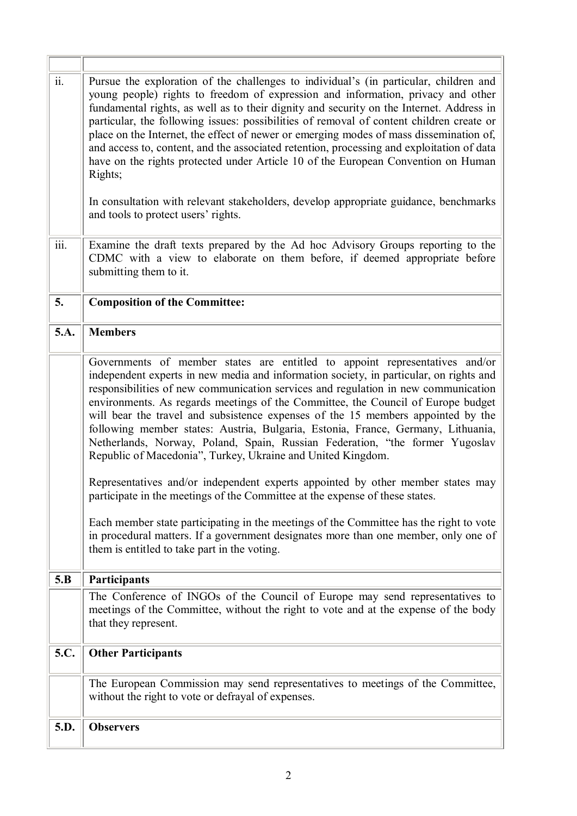| $\overline{\ddot{\mathbf{i}}\mathbf{i}}$ . | Pursue the exploration of the challenges to individual's (in particular, children and<br>young people) rights to freedom of expression and information, privacy and other<br>fundamental rights, as well as to their dignity and security on the Internet. Address in<br>particular, the following issues: possibilities of removal of content children create or<br>place on the Internet, the effect of newer or emerging modes of mass dissemination of,<br>and access to, content, and the associated retention, processing and exploitation of data<br>have on the rights protected under Article 10 of the European Convention on Human<br>Rights;<br>In consultation with relevant stakeholders, develop appropriate guidance, benchmarks<br>and tools to protect users' rights.                                                   |  |
|--------------------------------------------|-------------------------------------------------------------------------------------------------------------------------------------------------------------------------------------------------------------------------------------------------------------------------------------------------------------------------------------------------------------------------------------------------------------------------------------------------------------------------------------------------------------------------------------------------------------------------------------------------------------------------------------------------------------------------------------------------------------------------------------------------------------------------------------------------------------------------------------------|--|
| $\overline{\text{iii}}$ .                  | Examine the draft texts prepared by the Ad hoc Advisory Groups reporting to the<br>CDMC with a view to elaborate on them before, if deemed appropriate before<br>submitting them to it.                                                                                                                                                                                                                                                                                                                                                                                                                                                                                                                                                                                                                                                   |  |
| 5.                                         | <b>Composition of the Committee:</b>                                                                                                                                                                                                                                                                                                                                                                                                                                                                                                                                                                                                                                                                                                                                                                                                      |  |
| 5.A.                                       | <b>Members</b>                                                                                                                                                                                                                                                                                                                                                                                                                                                                                                                                                                                                                                                                                                                                                                                                                            |  |
|                                            | Governments of member states are entitled to appoint representatives and/or<br>independent experts in new media and information society, in particular, on rights and<br>responsibilities of new communication services and regulation in new communication<br>environments. As regards meetings of the Committee, the Council of Europe budget<br>will bear the travel and subsistence expenses of the 15 members appointed by the<br>following member states: Austria, Bulgaria, Estonia, France, Germany, Lithuania,<br>Netherlands, Norway, Poland, Spain, Russian Federation, "the former Yugoslav<br>Republic of Macedonia", Turkey, Ukraine and United Kingdom.<br>Representatives and/or independent experts appointed by other member states may<br>participate in the meetings of the Committee at the expense of these states. |  |
|                                            | Each member state participating in the meetings of the Committee has the right to vote<br>in procedural matters. If a government designates more than one member, only one of<br>them is entitled to take part in the voting.                                                                                                                                                                                                                                                                                                                                                                                                                                                                                                                                                                                                             |  |
| 5.B                                        | Participants                                                                                                                                                                                                                                                                                                                                                                                                                                                                                                                                                                                                                                                                                                                                                                                                                              |  |
|                                            | The Conference of INGOs of the Council of Europe may send representatives to<br>meetings of the Committee, without the right to vote and at the expense of the body<br>that they represent.                                                                                                                                                                                                                                                                                                                                                                                                                                                                                                                                                                                                                                               |  |
| 5.C.                                       | <b>Other Participants</b>                                                                                                                                                                                                                                                                                                                                                                                                                                                                                                                                                                                                                                                                                                                                                                                                                 |  |
|                                            | The European Commission may send representatives to meetings of the Committee,<br>without the right to vote or defrayal of expenses.                                                                                                                                                                                                                                                                                                                                                                                                                                                                                                                                                                                                                                                                                                      |  |
| 5.D.                                       | <b>Observers</b>                                                                                                                                                                                                                                                                                                                                                                                                                                                                                                                                                                                                                                                                                                                                                                                                                          |  |